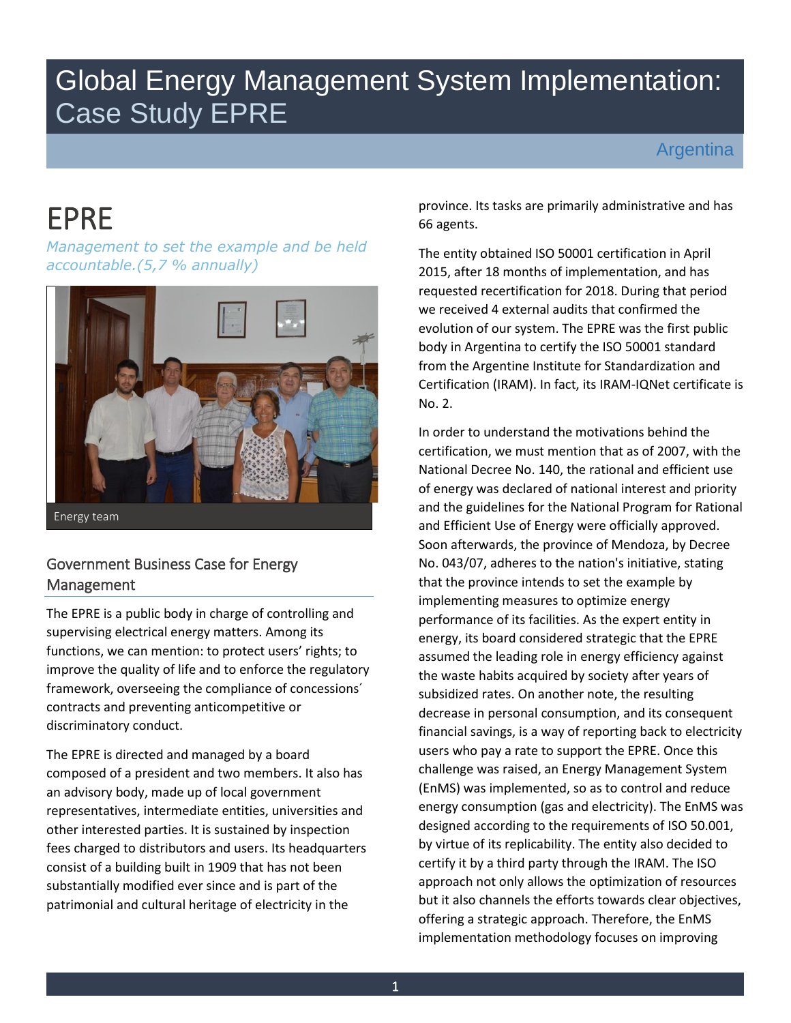# Global Energy Management System Implementation: Case Study EPRE

Argentina

# EPRE

*Management to set the example and be held accountable.(5,7 % annually)* 



Energy team

## Government Business Case for Energy Management

The EPRE is a public body in charge of controlling and supervising electrical energy matters. Among its functions, we can mention: to protect users' rights; to improve the quality of life and to enforce the regulatory framework, overseeing the compliance of concessions´ contracts and preventing anticompetitive or discriminatory conduct.

The EPRE is directed and managed by a board composed of a president and two members. It also has an advisory body, made up of local government representatives, intermediate entities, universities and other interested parties. It is sustained by inspection fees charged to distributors and users. Its headquarters consist of a building built in 1909 that has not been substantially modified ever since and is part of the patrimonial and cultural heritage of electricity in the

province. Its tasks are primarily administrative and has 66 agents.

The entity obtained ISO 50001 certification in April 2015, after 18 months of implementation, and has requested recertification for 2018. During that period we received 4 external audits that confirmed the evolution of our system. The EPRE was the first public body in Argentina to certify the ISO 50001 standard from the Argentine Institute for Standardization and Certification (IRAM). In fact, its IRAM-IQNet certificate is No. 2.

In order to understand the motivations behind the certification, we must mention that as of 2007, with the National Decree No. 140, the rational and efficient use of energy was declared of national interest and priority and the guidelines for the National Program for Rational and Efficient Use of Energy were officially approved. Soon afterwards, the province of Mendoza, by Decree No. 043/07, adheres to the nation's initiative, stating that the province intends to set the example by implementing measures to optimize energy performance of its facilities. As the expert entity in energy, its board considered strategic that the EPRE assumed the leading role in energy efficiency against the waste habits acquired by society after years of subsidized rates. On another note, the resulting decrease in personal consumption, and its consequent financial savings, is a way of reporting back to electricity users who pay a rate to support the EPRE. Once this challenge was raised, an Energy Management System (EnMS) was implemented, so as to control and reduce energy consumption (gas and electricity). The EnMS was designed according to the requirements of ISO 50.001, by virtue of its replicability. The entity also decided to certify it by a third party through the IRAM. The ISO approach not only allows the optimization of resources but it also channels the efforts towards clear objectives, offering a strategic approach. Therefore, the EnMS implementation methodology focuses on improving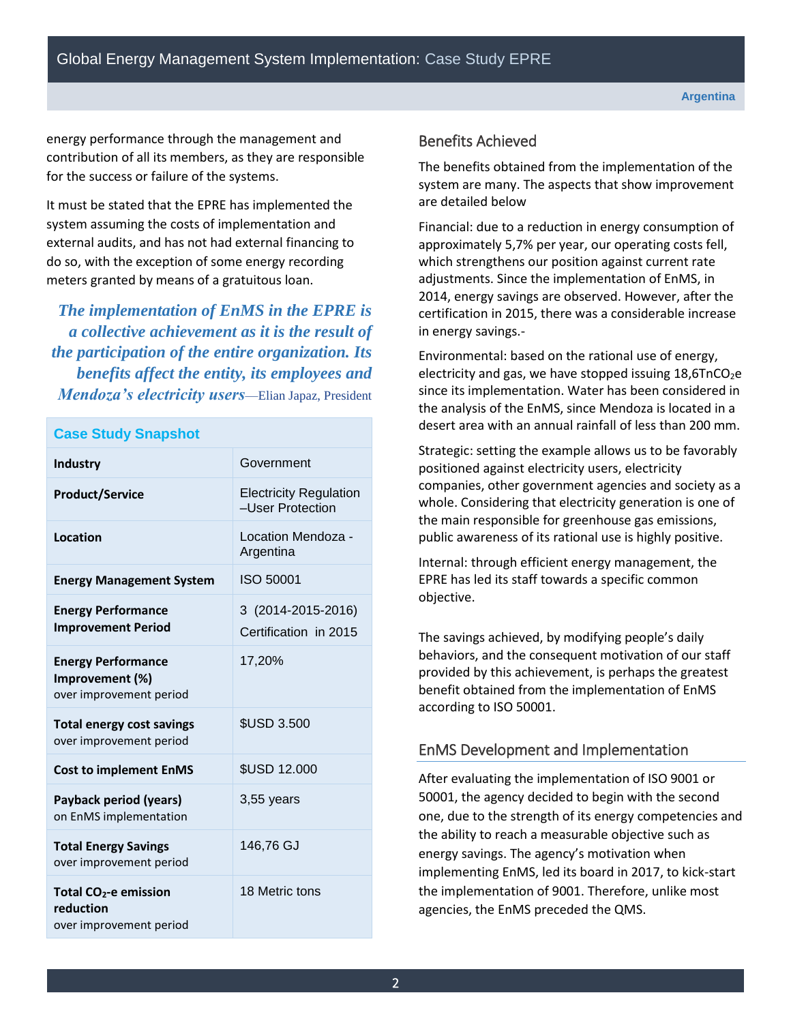energy performance through the management and contribution of all its members, as they are responsible for the success or failure of the systems.

It must be stated that the EPRE has implemented the system assuming the costs of implementation and external audits, and has not had external financing to do so, with the exception of some energy recording meters granted by means of a gratuitous loan.

*The implementation of EnMS in the EPRE is a collective achievement as it is the result of the participation of the entire organization. Its benefits affect the entity, its employees and Mendoza's electricity users*—Elian Japaz, President

**Case Study Snapshot Industry** Government **Product/Service** Electricity Regulation –User Protection **Location** Location Mendoza - Argentina **Energy Management System** ISO 50001 **Energy Performance Improvement Period**  3 (2014-2015-2016) Certification in 2015 **Energy Performance Improvement (%)** over improvement period 17,20% **Total energy cost savings** over improvement period \$USD 3.500 **Cost to implement EnMS** \$USD 12.000 **Payback period (years)** on EnMS implementation 3,55 years **Total Energy Savings**  over improvement period 146,76 GJ **Total CO2-e emission reduction**  18 Metric tons

over improvement period

### Benefits Achieved

The benefits obtained from the implementation of the system are many. The aspects that show improvement are detailed below

Financial: due to a reduction in energy consumption of approximately 5,7% per year, our operating costs fell, which strengthens our position against current rate adjustments. Since the implementation of EnMS, in 2014, energy savings are observed. However, after the certification in 2015, there was a considerable increase in energy savings.-

Environmental: based on the rational use of energy, electricity and gas, we have stopped issuing  $18,6TnCO<sub>2</sub>e$ since its implementation. Water has been considered in the analysis of the EnMS, since Mendoza is located in a desert area with an annual rainfall of less than 200 mm.

Strategic: setting the example allows us to be favorably positioned against electricity users, electricity companies, other government agencies and society as a whole. Considering that electricity generation is one of the main responsible for greenhouse gas emissions, public awareness of its rational use is highly positive.

Internal: through efficient energy management, the EPRE has led its staff towards a specific common objective.

The savings achieved, by modifying people's daily behaviors, and the consequent motivation of our staff provided by this achievement, is perhaps the greatest benefit obtained from the implementation of EnMS according to ISO 50001.

### EnMS Development and Implementation

After evaluating the implementation of ISO 9001 or 50001, the agency decided to begin with the second one, due to the strength of its energy competencies and the ability to reach a measurable objective such as energy savings. The agency's motivation when implementing EnMS, led its board in 2017, to kick-start the implementation of 9001. Therefore, unlike most agencies, the EnMS preceded the QMS.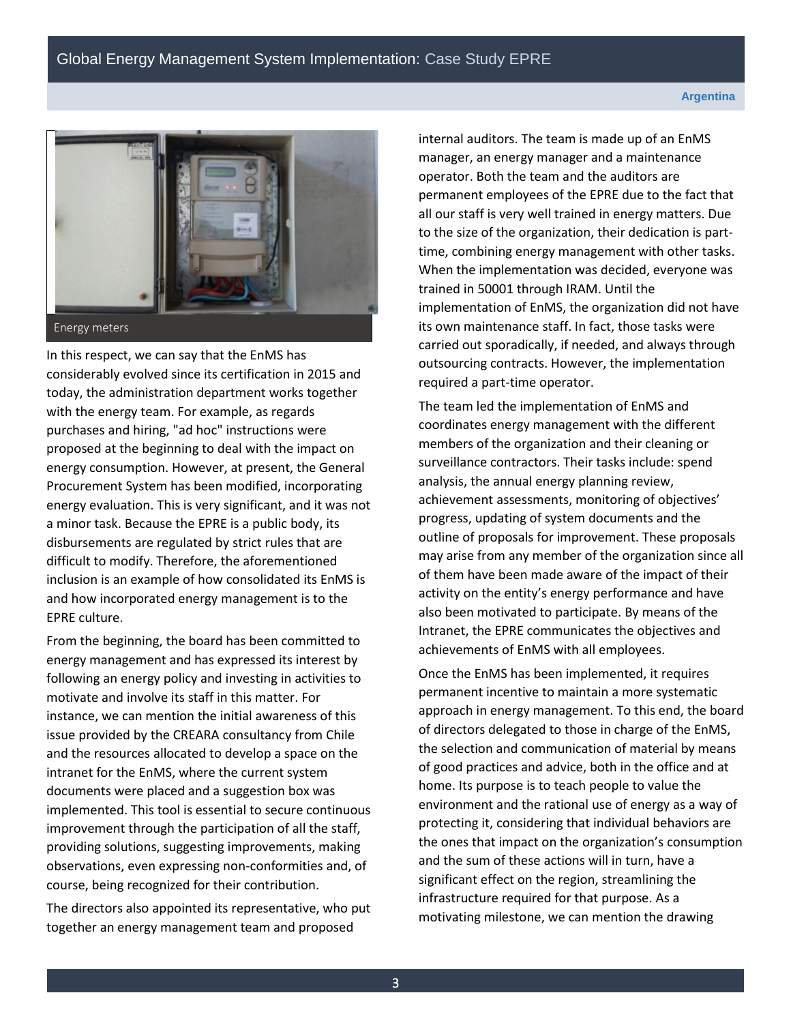

In this respect, we can say that the EnMS has considerably evolved since its certification in 2015 and today, the administration department works together with the energy team. For example, as regards purchases and hiring, "ad hoc" instructions were proposed at the beginning to deal with the impact on energy consumption. However, at present, the General Procurement System has been modified, incorporating energy evaluation. This is very significant, and it was not a minor task. Because the EPRE is a public body, its disbursements are regulated by strict rules that are difficult to modify. Therefore, the aforementioned inclusion is an example of how consolidated its EnMS is and how incorporated energy management is to the EPRE culture.

From the beginning, the board has been committed to energy management and has expressed its interest by following an energy policy and investing in activities to motivate and involve its staff in this matter. For instance, we can mention the initial awareness of this issue provided by the CREARA consultancy from Chile and the resources allocated to develop a space on the intranet for the EnMS, where the current system documents were placed and a suggestion box was implemented. This tool is essential to secure continuous improvement through the participation of all the staff, providing solutions, suggesting improvements, making observations, even expressing non-conformities and, of course, being recognized for their contribution.

The directors also appointed its representative, who put together an energy management team and proposed

internal auditors. The team is made up of an EnMS manager, an energy manager and a maintenance operator. Both the team and the auditors are permanent employees of the EPRE due to the fact that all our staff is very well trained in energy matters. Due to the size of the organization, their dedication is parttime, combining energy management with other tasks. When the implementation was decided, everyone was trained in 50001 through IRAM. Until the implementation of EnMS, the organization did not have its own maintenance staff. In fact, those tasks were carried out sporadically, if needed, and always through outsourcing contracts. However, the implementation required a part-time operator.

The team led the implementation of EnMS and coordinates energy management with the different members of the organization and their cleaning or surveillance contractors. Their tasks include: spend analysis, the annual energy planning review, achievement assessments, monitoring of objectives' progress, updating of system documents and the outline of proposals for improvement. These proposals may arise from any member of the organization since all of them have been made aware of the impact of their activity on the entity's energy performance and have also been motivated to participate. By means of the Intranet, the EPRE communicates the objectives and achievements of EnMS with all employees.

Once the EnMS has been implemented, it requires permanent incentive to maintain a more systematic approach in energy management. To this end, the board of directors delegated to those in charge of the EnMS, the selection and communication of material by means of good practices and advice, both in the office and at home. Its purpose is to teach people to value the environment and the rational use of energy as a way of protecting it, considering that individual behaviors are the ones that impact on the organization's consumption and the sum of these actions will in turn, have a significant effect on the region, streamlining the infrastructure required for that purpose. As a motivating milestone, we can mention the drawing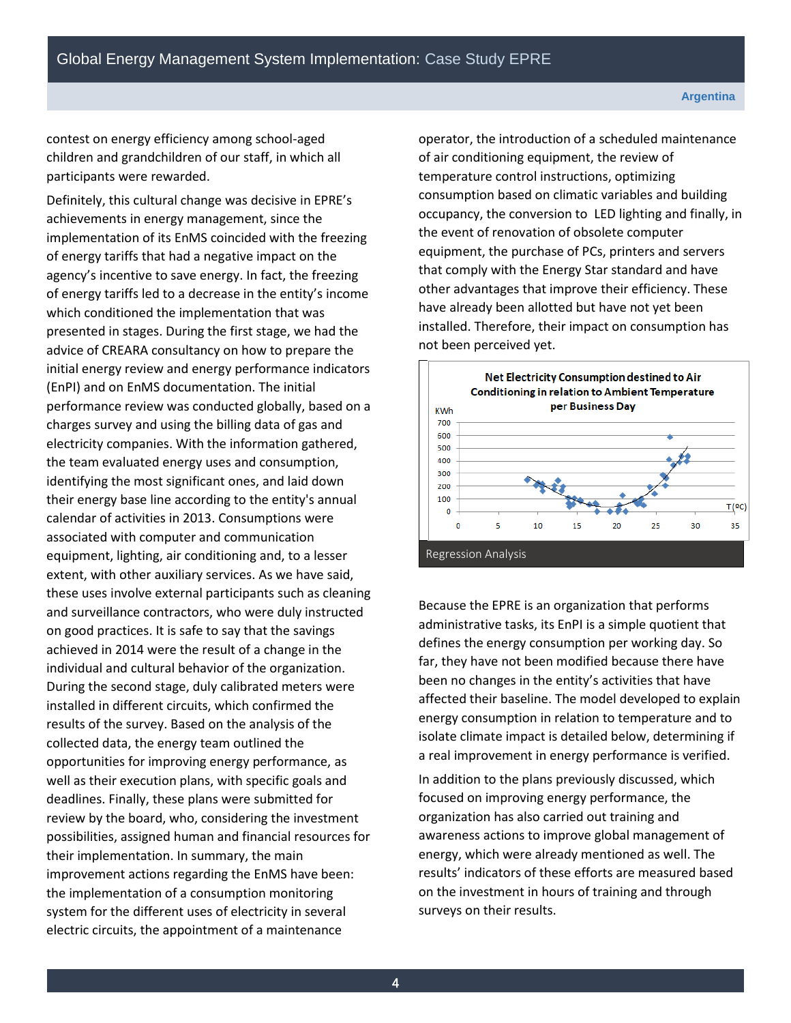contest on energy efficiency among school-aged children and grandchildren of our staff, in which all participants were rewarded.

Definitely, this cultural change was decisive in EPRE's achievements in energy management, since the implementation of its EnMS coincided with the freezing of energy tariffs that had a negative impact on the agency's incentive to save energy. In fact, the freezing of energy tariffs led to a decrease in the entity's income which conditioned the implementation that was presented in stages. During the first stage, we had the advice of CREARA consultancy on how to prepare the initial energy review and energy performance indicators (EnPI) and on EnMS documentation. The initial performance review was conducted globally, based on a charges survey and using the billing data of gas and electricity companies. With the information gathered, the team evaluated energy uses and consumption, identifying the most significant ones, and laid down their energy base line according to the entity's annual calendar of activities in 2013. Consumptions were associated with computer and communication equipment, lighting, air conditioning and, to a lesser extent, with other auxiliary services. As we have said, these uses involve external participants such as cleaning and surveillance contractors, who were duly instructed on good practices. It is safe to say that the savings achieved in 2014 were the result of a change in the individual and cultural behavior of the organization. During the second stage, duly calibrated meters were installed in different circuits, which confirmed the results of the survey. Based on the analysis of the collected data, the energy team outlined the opportunities for improving energy performance, as well as their execution plans, with specific goals and deadlines. Finally, these plans were submitted for review by the board, who, considering the investment possibilities, assigned human and financial resources for their implementation. In summary, the main improvement actions regarding the EnMS have been: the implementation of a consumption monitoring system for the different uses of electricity in several electric circuits, the appointment of a maintenance

operator, the introduction of a scheduled maintenance of air conditioning equipment, the review of temperature control instructions, optimizing consumption based on climatic variables and building occupancy, the conversion to LED lighting and finally, in the event of renovation of obsolete computer equipment, the purchase of PCs, printers and servers that comply with the Energy Star standard and have other advantages that improve their efficiency. These have already been allotted but have not yet been installed. Therefore, their impact on consumption has not been perceived yet.



Because the EPRE is an organization that performs administrative tasks, its EnPI is a simple quotient that defines the energy consumption per working day. So far, they have not been modified because there have been no changes in the entity's activities that have affected their baseline. The model developed to explain energy consumption in relation to temperature and to isolate climate impact is detailed below, determining if a real improvement in energy performance is verified.

In addition to the plans previously discussed, which focused on improving energy performance, the organization has also carried out training and awareness actions to improve global management of energy, which were already mentioned as well. The results' indicators of these efforts are measured based on the investment in hours of training and through surveys on their results.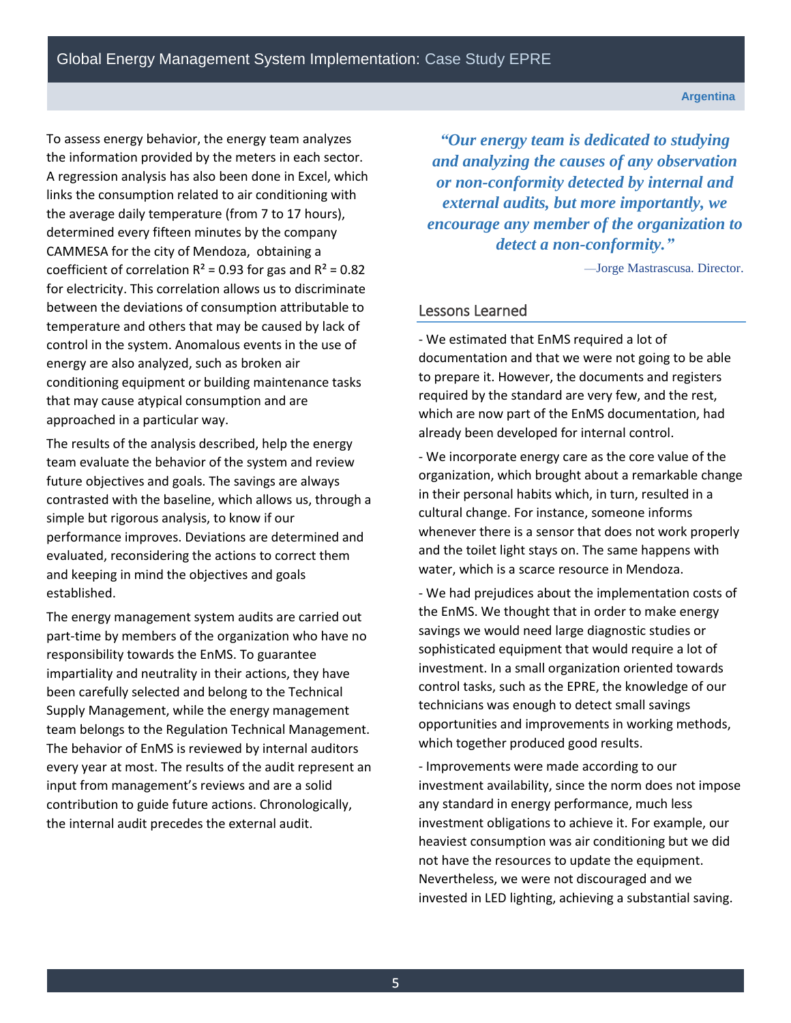#### **Argentina**

To assess energy behavior, the energy team analyzes the information provided by the meters in each sector. A regression analysis has also been done in Excel, which links the consumption related to air conditioning with the average daily temperature (from 7 to 17 hours), determined every fifteen minutes by the company CAMMESA for the city of Mendoza, obtaining a coefficient of correlation  $R^2$  = 0.93 for gas and  $R^2$  = 0.82 for electricity. This correlation allows us to discriminate between the deviations of consumption attributable to temperature and others that may be caused by lack of control in the system. Anomalous events in the use of energy are also analyzed, such as broken air conditioning equipment or building maintenance tasks that may cause atypical consumption and are approached in a particular way.

The results of the analysis described, help the energy team evaluate the behavior of the system and review future objectives and goals. The savings are always contrasted with the baseline, which allows us, through a simple but rigorous analysis, to know if our performance improves. Deviations are determined and evaluated, reconsidering the actions to correct them and keeping in mind the objectives and goals established.

The energy management system audits are carried out part-time by members of the organization who have no responsibility towards the EnMS. To guarantee impartiality and neutrality in their actions, they have been carefully selected and belong to the Technical Supply Management, while the energy management team belongs to the Regulation Technical Management. The behavior of EnMS is reviewed by internal auditors every year at most. The results of the audit represent an input from management's reviews and are a solid contribution to guide future actions. Chronologically, the internal audit precedes the external audit.

*"Our energy team is dedicated to studying and analyzing the causes of any observation or non-conformity detected by internal and external audits, but more importantly, we encourage any member of the organization to detect a non-conformity."*

—Jorge Mastrascusa. Director.

#### Lessons Learned

- We estimated that EnMS required a lot of documentation and that we were not going to be able to prepare it. However, the documents and registers required by the standard are very few, and the rest, which are now part of the EnMS documentation, had already been developed for internal control.

- We incorporate energy care as the core value of the organization, which brought about a remarkable change in their personal habits which, in turn, resulted in a cultural change. For instance, someone informs whenever there is a sensor that does not work properly and the toilet light stays on. The same happens with water, which is a scarce resource in Mendoza.

- We had prejudices about the implementation costs of the EnMS. We thought that in order to make energy savings we would need large diagnostic studies or sophisticated equipment that would require a lot of investment. In a small organization oriented towards control tasks, such as the EPRE, the knowledge of our technicians was enough to detect small savings opportunities and improvements in working methods, which together produced good results.

- Improvements were made according to our investment availability, since the norm does not impose any standard in energy performance, much less investment obligations to achieve it. For example, our heaviest consumption was air conditioning but we did not have the resources to update the equipment. Nevertheless, we were not discouraged and we invested in LED lighting, achieving a substantial saving.